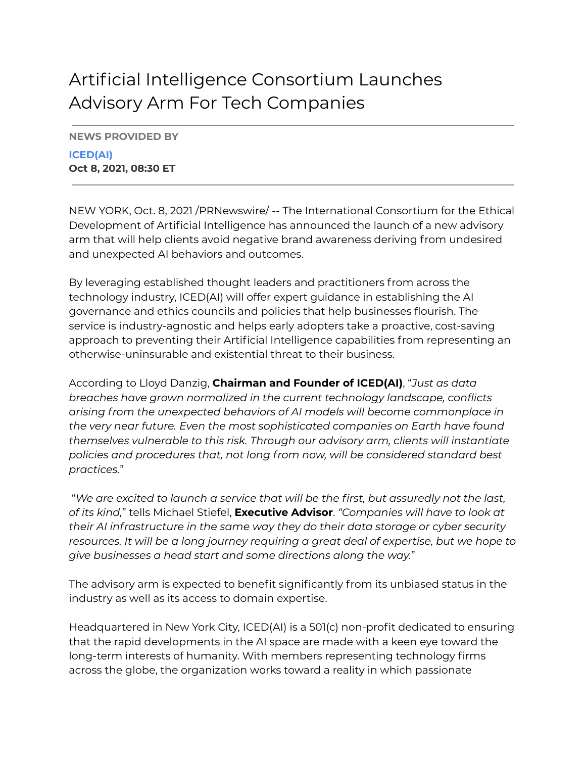## Artificial Intelligence Consortium Launches Advisory Arm For Tech Companies

**NEWS PROVIDED BY**

**ICED(AI) Oct 8, 2021, 08:30 ET**

NEW YORK, Oct. 8, 2021 /PRNewswire/ -- The International Consortium for the Ethical Development of Artificial Intelligence has announced the launch of a new advisory arm that will help clients avoid negative brand awareness deriving from undesired and unexpected AI behaviors and outcomes.

By leveraging established thought leaders and practitioners from across the technology industry, ICED(AI) will offer expert guidance in establishing the AI governance and ethics councils and policies that help businesses flourish. The service is industry-agnostic and helps early adopters take a proactive, cost-saving approach to preventing their Artificial Intelligence capabilities from representing an otherwise-uninsurable and existential threat to their business.

According to Lloyd Danzig, **Chairman and Founder of ICED(AI)**, "*Just as data breaches have grown normalized in the current technology landscape, conflicts arising from the unexpected behaviors of AI models will become commonplace in the very near future. Even the most sophisticated companies on Earth have found themselves vulnerable to this risk. Through our advisory arm, clients will instantiate policies and procedures that, not long from now, will be considered standard best practices.*"

"*We are excited to launch a service that will be the first, but assuredly not the last, of its kind,*" tells Michael Stiefel, **Executive Advisor**. *"Companies will have to look at their AI infrastructure in the same way they do their data storage or cyber security resources. It will be a long journey requiring a great deal of expertise, but we hope to give businesses a head start and some directions along the way.*"

The advisory arm is expected to benefit significantly from its unbiased status in the industry as well as its access to domain expertise.

Headquartered in New York City, ICED(AI) is a 501(c) non-profit dedicated to ensuring that the rapid developments in the AI space are made with a keen eye toward the long-term interests of humanity. With members representing technology firms across the globe, the organization works toward a reality in which passionate